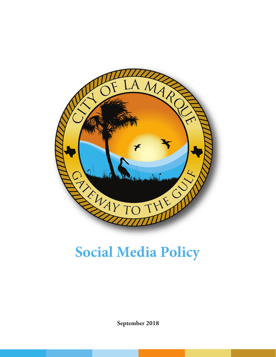

# **Social Media Policy**

**September 2018**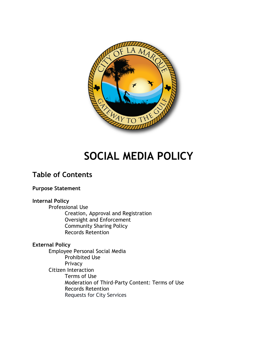

# **SOCIAL MEDIA POLICY**

## **Table of Contents**

### **Purpose Statement**

### **Internal Policy**

Professional Use Creation, Approval and Registration Oversight and Enforcement Community Sharing Policy Records Retention

### **External Policy**

Employee Personal Social Media Prohibited Use Privacy Citizen Interaction Terms of Use Moderation of Third-Party Content: Terms of Use Records Retention Requests for City Services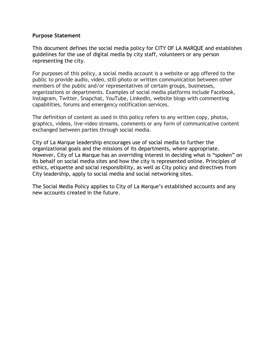### **Purpose Statement**

This document defines the social media policy for CITY OF LA MARQUE and establishes guidelines for the use of digital media by city staff, volunteers or any person representing the city.

For purposes of this policy, a social media account is a website or app offered to the public to provide audio, video, still-photo or written communication between other members of the public and/or representatives of certain groups, businesses, organizations or departments. Examples of social media platforms include Facebook, Instagram, Twitter, Snapchat, YouTube, LinkedIn, website blogs with commenting capabilities, forums and emergency notification services.

The definition of content as used in this policy refers to any written copy, photos, graphics, videos, live-video streams, comments or any form of communicative content exchanged between parties through social media.

City of La Marque leadership encourages use of social media to further the organizational goals and the missions of its departments, where appropriate. However, City of La Marque has an overriding interest in deciding what is "spoken" on its behalf on social media sites and how the city is represented online. Principles of ethics, etiquette and social responsibility, as well as City policy and directives from City leadership, apply to social media and social networking sites.

The Social Media Policy applies to City of La Marque's established accounts and any new accounts created in the future.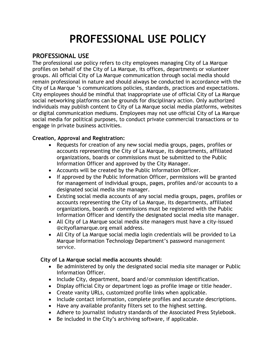# **PROFESSIONAL USE POLICY**

### **PROFESSIONAL USE**

The professional use policy refers to city employees managing City of La Marque profiles on behalf of the City of La Marque, its offices, departments or volunteer groups. All official City of La Marque communication through social media should remain professional in nature and should always be conducted in accordance with the City of La Marque 's communications policies, standards, practices and expectations. City employees should be mindful that inappropriate use of official City of La Marque social networking platforms can be grounds for disciplinary action. Only authorized individuals may publish content to City of La Marque social media platforms, websites or digital communication mediums. Employees may not use official City of La Marque social media for political purposes, to conduct private commercial transactions or to engage in private business activities.

### **Creation, Approval and Registration:**

- Requests for creation of any new social media groups, pages, profiles or accounts representing the City of La Marque, its departments, affiliated organizations, boards or commissions must be submitted to the Public Information Officer and approved by the City Manager.
- Accounts will be created by the Public Information Officer.
- If approved by the Public Information Officer, permissions will be granted for management of individual groups, pages, profiles and/or accounts to a designated social media site manager.
- Existing social media accounts of any social media groups, pages, profiles or accounts representing the City of La Marque, its departments, affiliated organizations, boards or commissions must be registered with the Public Information Officer and identify the designated social media site manager.
- All City of La Marque social media site managers must have a city-issued @cityoflamarque.org email address.
- All City of La Marque social media login credentials will be provided to La Marque Information Technology Department's password management service.

### **City of La Marque social media accounts should:**

- Be administered by only the designated social media site manager or Public Information Officer.
- Include City, department, board and/or commission identification.
- Display official City or department logo as profile image or title header.
- Create vanity URLs, customized profile links when applicable.
- Include contact information, complete profiles and accurate descriptions.
- Have any available profanity filters set to the highest setting.
- Adhere to journalist industry standards of the Associated Press Stylebook.
- Be included in the City's archiving software, if applicable.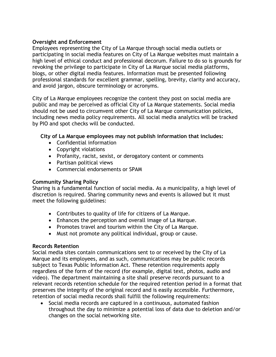### **Oversight and Enforcement**

Employees representing the City of La Marque through social media outlets or participating in social media features on City of La Marque websites must maintain a high level of ethical conduct and professional decorum. Failure to do so is grounds for revoking the privilege to participate in City of La Marque social media platforms, blogs, or other digital media features. Information must be presented following professional standards for excellent grammar, spelling, brevity, clarity and accuracy, and avoid jargon, obscure terminology or acronyms.

City of La Marque employees recognize the content they post on social media are public and may be perceived as official City of La Marque statements. Social media should not be used to circumvent other City of La Marque communication policies, including news media policy requirements. All social media analytics will be tracked by PIO and spot checks will be conducted.

### **City of La Marque employees may not publish information that includes:**

- Confidential information
- Copyright violations
- Profanity, racist, sexist, or derogatory content or comments
- Partisan political views
- Commercial endorsements or SPAM

### **Community Sharing Policy**

Sharing is a fundamental function of social media. As a municipality, a high level of discretion is required. Sharing community news and events is allowed but it must meet the following guidelines:

- Contributes to quality of life for citizens of La Marque.
- Enhances the perception and overall image of La Marque.
- Promotes travel and tourism within the City of La Marque.
- Must not promote any political individual, group or cause.

### **Records Retention**

Social media sites contain communications sent to or received by the City of La Marque and its employees, and as such, communications may be public records subject to Texas Public Information Act. These retention requirements apply regardless of the form of the record (for example, digital text, photos, audio and video). The department maintaining a site shall preserve records pursuant to a relevant records retention schedule for the required retention period in a format that preserves the integrity of the original record and is easily accessible. Furthermore, retention of social media records shall fulfill the following requirements:

• Social media records are captured in a continuous, automated fashion throughout the day to minimize a potential loss of data due to deletion and/or changes on the social networking site.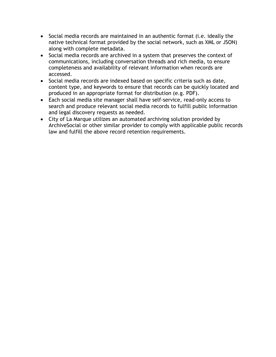- Social media records are maintained in an authentic format (i.e. ideally the native technical format provided by the social network, such as XML or JSON) along with complete metadata.
- Social media records are archived in a system that preserves the context of communications, including conversation threads and rich media, to ensure completeness and availability of relevant information when records are accessed.
- Social media records are indexed based on specific criteria such as date, content type, and keywords to ensure that records can be quickly located and produced in an appropriate format for distribution (e.g. PDF).
- Each social media site manager shall have self-service, read-only access to search and produce relevant social media records to fulfill public information and legal discovery requests as needed.
- City of La Marque utilizes an automated archiving solution provided by ArchiveSocial or other similar provider to comply with applicable public records law and fulfill the above record retention requirements.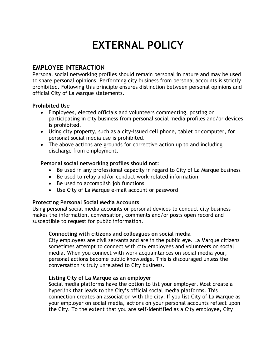# **EXTERNAL POLICY**

### **EMPLOYEE INTERACTION**

Personal social networking profiles should remain personal in nature and may be used to share personal opinions. Performing city business from personal accounts is strictly prohibited. Following this principle ensures distinction between personal opinions and official City of La Marque statements.

### **Prohibited Use**

- Employees, elected officials and volunteers commenting, posting or participating in city business from personal social media profiles and/or devices is prohibited.
- Using city property, such as a city-issued cell phone, tablet or computer, for personal social media use is prohibited.
- The above actions are grounds for corrective action up to and including discharge from employment.

### **Personal social networking profiles should not:**

- Be used in any professional capacity in regard to City of La Marque business
- Be used to relay and/or conduct work-related information
- Be used to accomplish job functions
- Use City of La Marque e-mail account or password

### **Protecting Personal Social Media Accounts**

Using personal social media accounts or personal devices to conduct city business makes the information, conversation, comments and/or posts open record and susceptible to request for public information.

### **Connecting with citizens and colleagues on social media**

City employees are civil servants and are in the public eye. La Marque citizens sometimes attempt to connect with city employees and volunteers on social media. When you connect with work acquaintances on social media your, personal actions become public knowledge. This is discouraged unless the conversation is truly unrelated to City business.

### **Listing City of La Marque as an employer**

Social media platforms have the option to list your employer. Most create a hyperlink that leads to the City's official social media platforms. This connection creates an association with the city. If you list City of La Marque as your employer on social media, actions on your personal accounts reflect upon the City. To the extent that you are self-identified as a City employee, City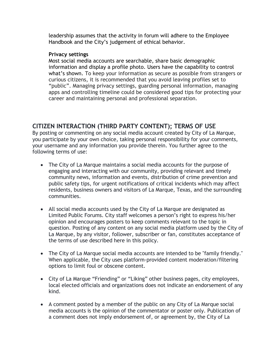leadership assumes that the activity in forum will adhere to the Employee Handbook and the City's judgement of ethical behavior.

### **Privacy settings**

Most social media accounts are searchable, share basic demographic information and display a profile photo. Users have the capability to control what's shown. To keep your information as secure as possible from strangers or curious citizens, it is recommended that you avoid leaving profiles set to "public". Managing privacy settings, guarding personal information, managing apps and controlling timeline could be considered good tips for protecting your career and maintaining personal and professional separation.

### **CITIZEN INTERACTION (THIRD PARTY CONTENT); TERMS OF USE**

By posting or commenting on any social media account created by City of La Marque, you participate by your own choice, taking personal responsibility for your comments, your username and any information you provide therein. You further agree to the following terms of use:

- The City of La Marque maintains a social media accounts for the purpose of engaging and interacting with our community, providing relevant and timely community news, information and events, distribution of crime prevention and public safety tips, for urgent notifications of critical incidents which may affect residents, business owners and visitors of La Marque, Texas, and the surrounding communities.
- All social media accounts used by the City of La Marque are designated as Limited Public Forums. City staff welcomes a person's right to express his/her opinion and encourages posters to keep comments relevant to the topic in question. Posting of any content on any social media platform used by the City of La Marque, by any visitor, follower, subscriber or fan, constitutes acceptance of the terms of use described here in this policy.
- The City of La Marque social media accounts are intended to be "family friendly." When applicable, the City uses platform-provided content moderation/filtering options to limit foul or obscene content.
- City of La Marque "Friending" or "Liking" other business pages, city employees, local elected officials and organizations does not indicate an endorsement of any kind.
- A comment posted by a member of the public on any City of La Marque social media accounts is the opinion of the commentator or poster only. Publication of a comment does not imply endorsement of, or agreement by, the City of La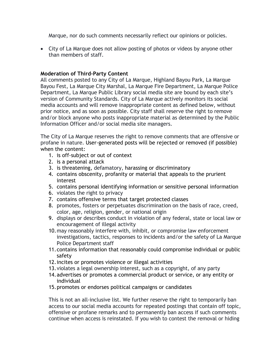Marque, nor do such comments necessarily reflect our opinions or policies.

• City of La Marque does not allow posting of photos or videos by anyone other than members of staff.

### **Moderation of Third-Party Content**

All comments posted to any City of La Marque, Highland Bayou Park, La Marque Bayou Fest, La Marque City Marshal, La Marque Fire Department, La Marque Police Department, La Marque Public Library social media site are bound by each site's version of Community Standards. City of La Marque actively monitors its social media accounts and will remove inappropriate content as defined below, without prior notice, and as soon as possible. City staff shall reserve the right to remove and/or block anyone who posts inappropriate material as determined by the Public Information Officer and/or social media site managers.

The City of La Marque reserves the right to remove comments that are offensive or profane in nature. User-generated posts will be rejected or removed (if possible) when the content:

- 1. is off-subject or out of context
- 2. is a personal attack
- 3. is threatening, defamatory, harassing or discriminatory
- 4. contains obscenity, profanity or material that appeals to the prurient interest
- 5. contains personal identifying information or sensitive personal information
- 6. violates the right to privacy
- 7. contains offensive terms that target protected classes
- 8. promotes, fosters or perpetuates discrimination on the basis of race, creed, color, age, religion, gender, or national origin
- 9. displays or describes conduct in violation of any federal, state or local law or encouragement of illegal activity
- 10.may reasonably interfere with, inhibit, or compromise law enforcement investigations, tactics, responses to incidents and/or the safety of La Marque Police Department staff
- 11.contains information that reasonably could compromise individual or public safety
- 12.incites or promotes violence or illegal activities
- 13.violates a legal ownership interest, such as a copyright, of any party
- 14.advertises or promotes a commercial product or service, or any entity or individual
- 15.promotes or endorses political campaigns or candidates

This is not an all-inclusive list. We further reserve the right to temporarily ban access to our social media accounts for repeated postings that contain off topic, offensive or profane remarks and to permanently ban access if such comments continue when access is reinstated. If you wish to contest the removal or hiding